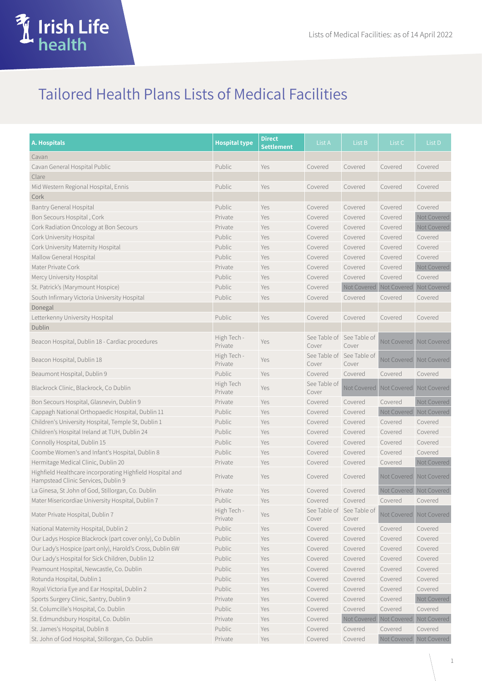

## Tailored Health Plans Lists of Medical Facilities

| <b>A. Hospitals</b>                                                                              | <b>Hospital type</b>   | <b>Direct</b><br><b>Settlement</b> | List A                             | List B                                  | List C                                  | List D                    |
|--------------------------------------------------------------------------------------------------|------------------------|------------------------------------|------------------------------------|-----------------------------------------|-----------------------------------------|---------------------------|
| Cavan                                                                                            |                        |                                    |                                    |                                         |                                         |                           |
| Cavan General Hospital Public                                                                    | Public                 | Yes                                | Covered                            | Covered                                 | Covered                                 | Covered                   |
| Clare                                                                                            |                        |                                    |                                    |                                         |                                         |                           |
| Mid Western Regional Hospital, Ennis                                                             | Public                 | Yes                                | Covered                            | Covered                                 | Covered                                 | Covered                   |
| Cork                                                                                             |                        |                                    |                                    |                                         |                                         |                           |
| Bantry General Hospital                                                                          | Public                 | Yes                                | Covered                            | Covered                                 | Covered                                 | Covered                   |
| Bon Secours Hospital, Cork                                                                       | Private                | Yes                                | Covered                            | Covered                                 | Covered                                 | Not Covered               |
| Cork Radiation Oncology at Bon Secours                                                           | Private                | Yes                                | Covered                            | Covered                                 | Covered                                 | Not Covered               |
| Cork University Hospital                                                                         | Public                 | Yes                                | Covered                            | Covered                                 | Covered                                 | Covered                   |
| Cork University Maternity Hospital                                                               | Public                 | Yes                                | Covered                            | Covered                                 | Covered                                 | Covered                   |
| Mallow General Hospital                                                                          | Public                 | Yes                                | Covered                            | Covered                                 | Covered                                 | Covered                   |
| Mater Private Cork                                                                               | Private                | Yes                                | Covered                            | Covered                                 | Covered                                 | Not Covered               |
| Mercy University Hospital                                                                        | Public                 | Yes                                | Covered                            | Covered                                 | Covered                                 | Covered                   |
| St. Patrick's (Marymount Hospice)                                                                | Public                 | Yes                                | Covered                            | Not Covered Not Covered                 |                                         | Not Covered               |
| South Infirmary Victoria University Hospital                                                     | Public                 | Yes                                | Covered                            | Covered                                 | Covered                                 | Covered                   |
| Donegal                                                                                          |                        |                                    |                                    |                                         |                                         |                           |
| Letterkenny University Hospital                                                                  | Public                 | Yes                                | Covered                            | Covered                                 | Covered                                 | Covered                   |
| Dublin                                                                                           |                        |                                    |                                    |                                         |                                         |                           |
| Beacon Hospital, Dublin 18 - Cardiac procedures                                                  | High Tech -<br>Private | Yes                                | See Table of See Table of<br>Cover | Cover                                   | Not Covered                             | Not Covered               |
| Beacon Hospital, Dublin 18                                                                       | High Tech -<br>Private | Yes                                | See Table of<br>Cover              | See Table of<br>Cover                   |                                         | Not Covered   Not Covered |
| Beaumont Hospital, Dublin 9                                                                      | Public                 | Yes                                | Covered                            | Covered                                 | Covered                                 | Covered                   |
| Blackrock Clinic, Blackrock, Co Dublin                                                           | High Tech<br>Private   | Yes                                | See Table of<br>Cover              |                                         | Not Covered   Not Covered   Not Covered |                           |
| Bon Secours Hospital, Glasnevin, Dublin 9                                                        | Private                | Yes                                | Covered                            | Covered                                 | Covered                                 | Not Covered               |
| Cappagh National Orthopaedic Hospital, Dublin 11                                                 | Public                 | Yes                                | Covered                            | Covered                                 | Not Covered Not Covered                 |                           |
| Children's University Hospital, Temple St, Dublin 1                                              | Public                 | Yes                                | Covered                            | Covered                                 | Covered                                 | Covered                   |
| Children's Hospital Ireland at TUH, Dublin 24                                                    | Public                 | Yes                                | Covered                            | Covered                                 | Covered                                 | Covered                   |
| Connolly Hospital, Dublin 15                                                                     | Public                 | Yes                                | Covered                            | Covered                                 | Covered                                 | Covered                   |
| Coombe Women's and Infant's Hospital, Dublin 8                                                   | Public                 | Yes                                | Covered                            | Covered                                 | Covered                                 | Covered                   |
| Hermitage Medical Clinic, Dublin 20                                                              | Private                | Yes                                | Covered                            | Covered                                 | Covered                                 | Not Covered               |
| Highfield Healthcare incorporating Highfield Hospital and<br>Hampstead Clinic Services, Dublin 9 | Private                | Yes                                | Covered                            | Covered                                 | Not Covered   Not Covered               |                           |
| La Ginesa, St John of God, Stillorgan, Co. Dublin                                                | Private                | Yes                                | Covered                            | Covered                                 | Not Covered   Not Covered               |                           |
| Mater Misericordiae University Hospital, Dublin 7                                                | Public                 | Yes                                | Covered                            | Covered                                 | Covered                                 | Covered                   |
| Mater Private Hospital, Dublin 7                                                                 | High Tech -<br>Private | Yes                                | See Table of<br>Cover              | See Table of<br>Cover                   |                                         | Not Covered Not Covered   |
| National Maternity Hospital, Dublin 2                                                            | Public                 | Yes                                | Covered                            | Covered                                 | Covered                                 | Covered                   |
| Our Ladys Hospice Blackrock (part cover only), Co Dublin                                         | Public                 | Yes                                | Covered                            | Covered                                 | Covered                                 | Covered                   |
| Our Lady's Hospice (part only), Harold's Cross, Dublin 6W                                        | Public                 | Yes                                | Covered                            | Covered                                 | Covered                                 | Covered                   |
| Our Lady's Hospital for Sick Children, Dublin 12                                                 | Public                 | Yes                                | Covered                            | Covered                                 | Covered                                 | Covered                   |
| Peamount Hospital, Newcastle, Co. Dublin                                                         | Public                 | Yes                                | Covered                            | Covered                                 | Covered                                 | Covered                   |
| Rotunda Hospital, Dublin 1                                                                       | Public                 | Yes                                | Covered                            | Covered                                 | Covered                                 | Covered                   |
| Royal Victoria Eye and Ear Hospital, Dublin 2                                                    | Public                 | Yes                                | Covered                            | Covered                                 | Covered                                 | Covered                   |
| Sports Surgery Clinic, Santry, Dublin 9                                                          | Private                | Yes                                | Covered                            | Covered                                 | Covered                                 | Not Covered               |
| St. Columcille's Hospital, Co. Dublin                                                            | Public                 | Yes                                | Covered                            | Covered                                 | Covered                                 | Covered                   |
| St. Edmundsbury Hospital, Co. Dublin                                                             | Private                | Yes                                | Covered                            | Not Covered   Not Covered   Not Covered |                                         |                           |
| St. James's Hospital, Dublin 8                                                                   | Public                 | Yes                                | Covered                            | Covered                                 | Covered                                 | Covered                   |
| St. John of God Hospital, Stillorgan, Co. Dublin                                                 | Private                | Yes                                | Covered                            | Covered                                 | Not Covered Not Covered                 |                           |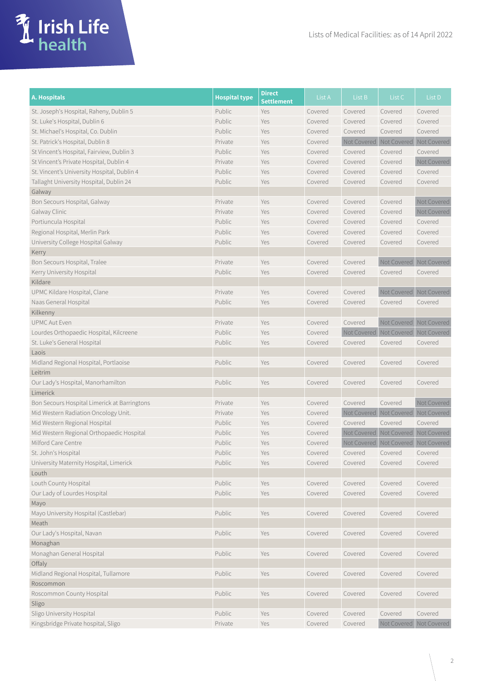

| <b>A. Hospitals</b>                          | <b>Hospital type</b> | <b>Direct</b><br>Settlement | List A  | List B                                  | List C                                  | List D      |
|----------------------------------------------|----------------------|-----------------------------|---------|-----------------------------------------|-----------------------------------------|-------------|
| St. Joseph's Hospital, Raheny, Dublin 5      | Public               | Yes                         | Covered | Covered                                 | Covered                                 | Covered     |
| St. Luke's Hospital, Dublin 6                | Public               | Yes                         | Covered | Covered                                 | Covered                                 | Covered     |
| St. Michael's Hospital, Co. Dublin           | Public               | Yes                         | Covered | Covered                                 | Covered                                 | Covered     |
| St. Patrick's Hospital, Dublin 8             | Private              | Yes                         | Covered | Not Covered                             | Not Covered                             | Not Covered |
| St Vincent's Hospital, Fairview, Dublin 3    | Public               | Yes                         | Covered | Covered                                 | Covered                                 | Covered     |
| St Vincent's Private Hospital, Dublin 4      | Private              | Yes                         | Covered | Covered                                 | Covered                                 | Not Covered |
| St. Vincent's University Hospital, Dublin 4  | Public               | Yes                         | Covered | Covered                                 | Covered                                 | Covered     |
| Tallaght University Hospital, Dublin 24      | Public               | Yes                         | Covered | Covered                                 | Covered                                 | Covered     |
| Galway                                       |                      |                             |         |                                         |                                         |             |
| Bon Secours Hospital, Galway                 | Private              | Yes                         | Covered | Covered                                 | Covered                                 | Not Covered |
| Galway Clinic                                | Private              | Yes                         | Covered | Covered                                 | Covered                                 | Not Covered |
| Portiuncula Hospital                         | Public               | Yes                         | Covered | Covered                                 | Covered                                 | Covered     |
| Regional Hospital, Merlin Park               | Public               | Yes                         | Covered | Covered                                 | Covered                                 | Covered     |
| University College Hospital Galway           | Public               | Yes                         | Covered | Covered                                 | Covered                                 | Covered     |
| Kerry                                        |                      |                             |         |                                         |                                         |             |
| Bon Secours Hospital, Tralee                 | Private              | Yes                         | Covered | Covered                                 | Not Covered Not Covered                 |             |
| Kerry University Hospital                    | Public               | Yes                         | Covered | Covered                                 | Covered                                 | Covered     |
| Kildare                                      |                      |                             |         |                                         |                                         |             |
| UPMC Kildare Hospital, Clane                 | Private              | Yes                         | Covered | Covered                                 | Not Covered Not Covered                 |             |
| Naas General Hospital                        | Public               | Yes                         | Covered | Covered                                 | Covered                                 | Covered     |
| Kilkenny                                     |                      |                             |         |                                         |                                         |             |
| <b>UPMC Aut Even</b>                         | Private              | Yes                         | Covered | Covered                                 | Not Covered Not Covered                 |             |
| Lourdes Orthopaedic Hospital, Kilcreene      | Public               | Yes                         | Covered | Not Covered   Not Covered   Not Covered |                                         |             |
| St. Luke's General Hospital                  | Public               | Yes                         | Covered | Covered                                 | Covered                                 | Covered     |
| Laois                                        |                      |                             |         |                                         |                                         |             |
| Midland Regional Hospital, Portlaoise        | Public               | Yes                         | Covered | Covered                                 | Covered                                 | Covered     |
| Leitrim                                      |                      |                             |         |                                         |                                         |             |
| Our Lady's Hospital, Manorhamilton           | Public               | Yes                         | Covered | Covered                                 | Covered                                 | Covered     |
| Limerick                                     |                      |                             |         |                                         |                                         |             |
| Bon Secours Hospital Limerick at Barringtons | Private              | Yes                         | Covered | Covered                                 | Covered                                 | Not Covered |
| Mid Western Radiation Oncology Unit.         | Private              | Yes                         | Covered |                                         | Not Covered   Not Covered   Not Covered |             |
| Mid Western Regional Hospital                | Public               | Yes                         | Covered | Covered                                 | Covered                                 | Covered     |
| Mid Western Regional Orthopaedic Hospital    | Public               | Yes                         | Covered | Not Covered Not Covered                 |                                         | Not Covered |
| Milford Care Centre                          | Public               | Yes                         | Covered |                                         | Not Covered Not Covered Not Covered     |             |
| St. John's Hospital                          | Public               | Yes                         | Covered | Covered                                 | Covered                                 | Covered     |
| University Maternity Hospital, Limerick      | Public               | Yes                         | Covered | Covered                                 | Covered                                 | Covered     |
| Louth                                        |                      |                             |         |                                         |                                         |             |
| Louth County Hospital                        | Public               | Yes                         | Covered | Covered                                 | Covered                                 | Covered     |
| Our Lady of Lourdes Hospital                 | Public               | Yes                         | Covered | Covered                                 | Covered                                 | Covered     |
| Mayo                                         |                      |                             |         |                                         |                                         |             |
| Mayo University Hospital (Castlebar)         | Public               | Yes                         | Covered | Covered                                 | Covered                                 | Covered     |
| Meath                                        |                      |                             |         |                                         |                                         |             |
| Our Lady's Hospital, Navan                   | Public               | Yes                         | Covered | Covered                                 | Covered                                 | Covered     |
| Monaghan                                     |                      |                             |         |                                         |                                         |             |
| Monaghan General Hospital                    | Public               | Yes                         | Covered | Covered                                 | Covered                                 | Covered     |
| Offaly                                       |                      |                             |         |                                         |                                         |             |
| Midland Regional Hospital, Tullamore         | Public               | Yes                         | Covered | Covered                                 | Covered                                 | Covered     |
| Roscommon                                    |                      |                             |         |                                         |                                         |             |
| Roscommon County Hospital                    | Public               | Yes                         | Covered | Covered                                 | Covered                                 | Covered     |
| Sligo                                        |                      |                             |         |                                         |                                         |             |
| Sligo University Hospital                    | Public               | Yes                         | Covered | Covered                                 | Covered                                 | Covered     |
| Kingsbridge Private hospital, Sligo          | Private              | Yes                         | Covered | Covered                                 | Not Covered Not Covered                 |             |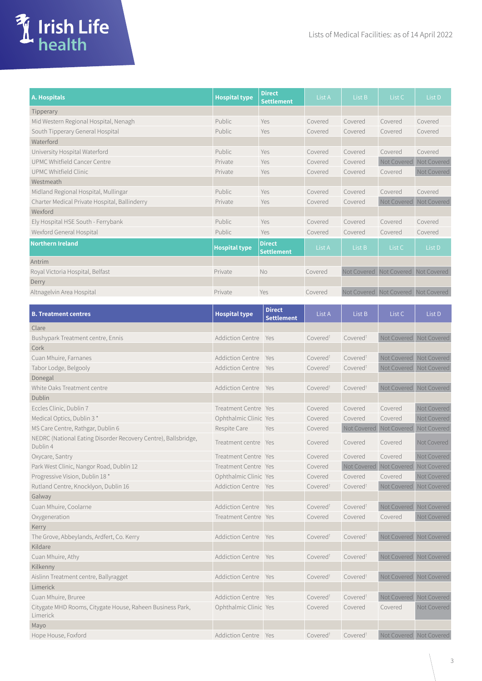

| A. Hospitals                                  | <b>Hospital type</b> | <b>Direct</b><br><b>Settlement</b> | List A  | List B  | List C                              | List D      |
|-----------------------------------------------|----------------------|------------------------------------|---------|---------|-------------------------------------|-------------|
| Tipperary                                     |                      |                                    |         |         |                                     |             |
| Mid Western Regional Hospital, Nenagh         | Public               | Yes                                | Covered | Covered | Covered                             | Covered     |
| South Tipperary General Hospital              | Public               | Yes                                | Covered | Covered | Covered                             | Covered     |
| <b>Waterford</b>                              |                      |                                    |         |         |                                     |             |
| University Hospital Waterford                 | Public               | Yes                                | Covered | Covered | Covered                             | Covered     |
| UPMC Whitfield Cancer Centre                  | Private              | Yes                                | Covered | Covered | Not Covered                         | Not Covered |
| UPMC Whitfield Clinic                         | Private              | Yes                                | Covered | Covered | Covered                             | Not Covered |
| Westmeath                                     |                      |                                    |         |         |                                     |             |
| Midland Regional Hospital, Mullingar          | Public.              | Yes                                | Covered | Covered | Covered                             | Covered     |
| Charter Medical Private Hospital, Ballinderry | Private              | Yes                                | Covered | Covered | Not Covered                         | Not Covered |
| Wexford                                       |                      |                                    |         |         |                                     |             |
| Ely Hospital HSE South - Ferrybank            | Public               | Yes                                | Covered | Covered | Covered                             | Covered     |
| Wexford General Hospital                      | Public.              | Yes                                | Covered | Covered | Covered                             | Covered     |
| <b>Northern Ireland</b>                       | <b>Hospital type</b> | <b>Direct</b><br><b>Settlement</b> | List A  | List B  | List C                              | List D      |
| Antrim                                        |                      |                                    |         |         |                                     |             |
| Royal Victoria Hospital, Belfast              | Private              | <b>No</b>                          | Covered |         | Not Covered Not Covered Not Covered |             |
| Derry                                         |                      |                                    |         |         |                                     |             |
| Altnagelvin Area Hospital                     | Private              | Yes                                | Covered |         | Not Covered Not Covered Not Covered |             |

| <b>B. Treatment centres</b>                                                | <b>Hospital type</b>        | <b>Direct</b><br><b>Settlement</b> | List A               | List B                    | List C                    | List D      |
|----------------------------------------------------------------------------|-----------------------------|------------------------------------|----------------------|---------------------------|---------------------------|-------------|
| Clare                                                                      |                             |                                    |                      |                           |                           |             |
| Bushypark Treatment centre, Ennis                                          | Addiction Centre Yes        |                                    | Covered <sup>t</sup> | Covered <sup>t</sup>      | Not Covered   Not Covered |             |
| Cork                                                                       |                             |                                    |                      |                           |                           |             |
| Cuan Mhuire, Farnanes                                                      | Addiction Centre Yes        |                                    | Covered <sup>t</sup> | Covered <sup>t</sup>      | Not Covered Not Covered   |             |
| Tabor Lodge, Belgooly                                                      | Addiction Centre Yes        |                                    | Covered <sup>t</sup> | Covered <sup>t</sup>      | Not Covered Not Covered   |             |
| Donegal                                                                    |                             |                                    |                      |                           |                           |             |
| White Oaks Treatment centre                                                | <b>Addiction Centre</b>     | Yes                                | Covered <sup>t</sup> | Covered <sup>t</sup>      | Not Covered Not Covered   |             |
| Dublin                                                                     |                             |                                    |                      |                           |                           |             |
| Eccles Clinic, Dublin 7                                                    | Treatment Centre Yes        |                                    | Covered              | Covered                   | Covered                   | Not Covered |
| Medical Optics, Dublin 3*                                                  | Ophthalmic Clinic Yes       |                                    | Covered              | Covered                   | Covered                   | Not Covered |
| MS Care Centre, Rathgar, Dublin 6                                          | Respite Care                | Yes                                | Covered              | Not Covered Not Covered   |                           | Not Covered |
| NEDRC (National Eating Disorder Recovery Centre), Ballsbridge,<br>Dublin 4 | Treatment centre Yes        |                                    | Covered              | Covered                   | Covered                   | Not Covered |
| Oxycare, Santry                                                            | Treatment Centre Yes        |                                    | Covered              | Covered                   | Covered                   | Not Covered |
| Park West Clinic, Nangor Road, Dublin 12                                   | Treatment Centre Yes        |                                    | Covered              | Not Covered   Not Covered |                           | Not Covered |
| Progressive Vision, Dublin 18*                                             | Ophthalmic Clinic Yes       |                                    | Covered              | Covered                   | Covered                   | Not Covered |
| Rutland Centre, Knocklyon, Dublin 16                                       | Addiction Centre Yes        |                                    | Covered <sup>t</sup> | Covered <sup>t</sup>      | Not Covered               | Not Covered |
| Galway                                                                     |                             |                                    |                      |                           |                           |             |
| Cuan Mhuire, Coolarne                                                      | Addiction Centre Yes        |                                    | Covered <sup>t</sup> | Covered <sup>t</sup>      | Not Covered               | Not Covered |
| Oxygeneration                                                              | Treatment Centre Yes        |                                    | Covered              | Covered                   | Covered                   | Not Covered |
| Kerry                                                                      |                             |                                    |                      |                           |                           |             |
| The Grove, Abbeylands, Ardfert, Co. Kerry                                  | Addiction Centre Yes        |                                    | Covered <sup>t</sup> | Covered <sup>t</sup>      | Not Covered Not Covered   |             |
| Kildare                                                                    |                             |                                    |                      |                           |                           |             |
| Cuan Mhuire, Athy                                                          | Addiction Centre Yes        |                                    | Covered <sup>t</sup> | Covered <sup>t</sup>      | Not Covered Not Covered   |             |
| Kilkenny                                                                   |                             |                                    |                      |                           |                           |             |
| Aislinn Treatment centre, Ballyragget                                      | Addiction Centre Yes        |                                    | Covered <sup>t</sup> | Covered <sup>t</sup>      | Not Covered Not Covered   |             |
| Limerick                                                                   |                             |                                    |                      |                           |                           |             |
| Cuan Mhuire, Bruree                                                        | Addiction Centre Yes        |                                    | Covered <sup>t</sup> | Covered <sup>t</sup>      | Not Covered Not Covered   |             |
| Citygate MHD Rooms, Citygate House, Raheen Business Park,<br>Limerick      | Ophthalmic Clinic Yes       |                                    | Covered              | Covered                   | Covered                   | Not Covered |
| Mayo                                                                       |                             |                                    |                      |                           |                           |             |
| Hope House, Foxford                                                        | <b>Addiction Centre Yes</b> |                                    | Covered <sup>t</sup> | Covered <sup>t</sup>      | Not Covered Not Covered   |             |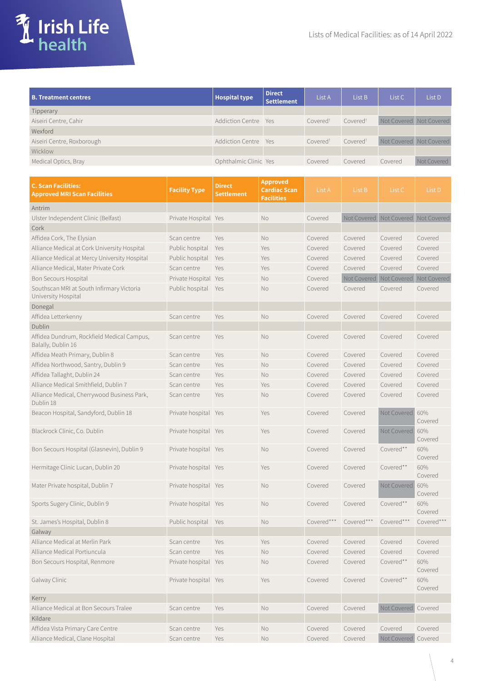

| <b>B. Treatment centres</b> | <b>Hospital type</b>  | <b>Direct</b><br><b>Settlement</b> | List A               | List B               | List <sub>C</sub>       | List D      |
|-----------------------------|-----------------------|------------------------------------|----------------------|----------------------|-------------------------|-------------|
| Tipperary                   |                       |                                    |                      |                      |                         |             |
| Aiseiri Centre, Cahir       | Addiction Centre Yes  |                                    | Covered <sup>t</sup> | Covered <sup>t</sup> | Not Covered Not Covered |             |
| Wexford                     |                       |                                    |                      |                      |                         |             |
| Aiseiri Centre, Roxborough  | Addiction Centre Yes  |                                    | Covered <sup>t</sup> | Covered <sup>t</sup> | Not Covered Not Covered |             |
| Wicklow                     |                       |                                    |                      |                      |                         |             |
| Medical Optics, Bray        | Ophthalmic Clinic Yes |                                    | Covered              | Covered              | Covered                 | Not Covered |

| <b>C. Scan Facilities:</b><br><b>Approved MRI Scan Facilities</b> | <b>Facility Type</b> | <b>Direct</b><br><b>Settlement</b> | <b>Approved</b><br><b>Cardiac Scan</b><br>Facilities | List A     | List B     | List C                              | List D         |
|-------------------------------------------------------------------|----------------------|------------------------------------|------------------------------------------------------|------------|------------|-------------------------------------|----------------|
| Antrim                                                            |                      |                                    |                                                      |            |            |                                     |                |
| Ulster Independent Clinic (Belfast)                               | Private Hospital Yes |                                    | <b>No</b>                                            | Covered    |            | Not Covered Not Covered Not Covered |                |
| Cork                                                              |                      |                                    |                                                      |            |            |                                     |                |
| Affidea Cork, The Elysian                                         | Scan centre          | Yes                                | No                                                   | Covered    | Covered    | Covered                             | Covered        |
| Alliance Medical at Cork University Hospital                      | Public hospital      | Yes                                | Yes                                                  | Covered    | Covered    | Covered                             | Covered        |
| Alliance Medical at Mercy University Hospital                     | Public hospital      | Yes                                | Yes                                                  | Covered    | Covered    | Covered                             | Covered        |
| Alliance Medical, Mater Private Cork                              | Scan centre          | Yes                                | Yes                                                  | Covered    | Covered    | Covered                             | Covered        |
| <b>Bon Secours Hospital</b>                                       | Private Hospital Yes |                                    | No                                                   | Covered    |            | Not Covered Not Covered Not Covered |                |
| Southscan MRI at South Infirmary Victoria<br>University Hospital  | Public hospital      | Yes                                | <b>No</b>                                            | Covered    | Covered    | Covered                             | Covered        |
| Donegal                                                           |                      |                                    |                                                      |            |            |                                     |                |
| Affidea Letterkenny                                               | Scan centre          | Yes                                | <b>No</b>                                            | Covered    | Covered    | Covered                             | Covered        |
| Dublin                                                            |                      |                                    |                                                      |            |            |                                     |                |
| Affidea Dundrum, Rockfield Medical Campus,<br>Balally, Dublin 16  | Scan centre          | Yes                                | No                                                   | Covered    | Covered    | Covered                             | Covered        |
| Affidea Meath Primary, Dublin 8                                   | Scan centre          | Yes                                | No                                                   | Covered    | Covered    | Covered                             | Covered        |
| Affidea Northwood, Santry, Dublin 9                               | Scan centre          | Yes                                | <b>No</b>                                            | Covered    | Covered    | Covered                             | Covered        |
| Affidea Tallaght, Dublin 24                                       | Scan centre          | Yes                                | <b>No</b>                                            | Covered    | Covered    | Covered                             | Covered        |
| Alliance Medical Smithfield, Dublin 7                             | Scan centre          | Yes                                | Yes                                                  | Covered    | Covered    | Covered                             | Covered        |
| Alliance Medical, Cherrywood Business Park,<br>Dublin 18          | Scan centre          | Yes                                | <b>No</b>                                            | Covered    | Covered    | Covered                             | Covered        |
| Beacon Hospital, Sandyford, Dublin 18                             | Private hospital Yes |                                    | Yes                                                  | Covered    | Covered    | Not Covered                         | 60%<br>Covered |
| Blackrock Clinic, Co. Dublin                                      | Private hospital Yes |                                    | Yes                                                  | Covered    | Covered    | Not Covered                         | 60%<br>Covered |
| Bon Secours Hospital (Glasnevin), Dublin 9                        | Private hospital Yes |                                    | No                                                   | Covered    | Covered    | Covered**                           | 60%<br>Covered |
| Hermitage Clinic Lucan, Dublin 20                                 | Private hospital Yes |                                    | Yes                                                  | Covered    | Covered    | Covered**                           | 60%<br>Covered |
| Mater Private hospital, Dublin 7                                  | Private hospital Yes |                                    | No                                                   | Covered    | Covered    | Not Covered                         | 60%<br>Covered |
| Sports Sugery Clinic, Dublin 9                                    | Private hospital Yes |                                    | No                                                   | Covered    | Covered    | Covered**                           | 60%<br>Covered |
| St. James's Hospital, Dublin 8                                    | Public hospital Yes  |                                    | No                                                   | Covered*** | Covered*** | Covered***                          | Covered***     |
| Galway                                                            |                      |                                    |                                                      |            |            |                                     |                |
| Alliance Medical at Merlin Park                                   | Scan centre          | Yes                                | Yes                                                  | Covered    | Covered    | Covered                             | Covered        |
| Alliance Medical Portiuncula                                      | Scan centre          | Yes                                | No                                                   | Covered    | Covered    | Covered                             | Covered        |
| Bon Secours Hospital, Renmore                                     | Private hospital Yes |                                    | No                                                   | Covered    | Covered    | Covered**                           | 60%<br>Covered |
| Galway Clinic                                                     | Private hospital Yes |                                    | Yes                                                  | Covered    | Covered    | Covered**                           | 60%<br>Covered |
| Kerry                                                             |                      |                                    |                                                      |            |            |                                     |                |
| Alliance Medical at Bon Secours Tralee                            | Scan centre          | Yes                                | No                                                   | Covered    | Covered    | Not Covered                         | Covered        |
| Kildare                                                           |                      |                                    |                                                      |            |            |                                     |                |
| Affidea Vista Primary Care Centre                                 | Scan centre          | Yes                                | No                                                   | Covered    | Covered    | Covered                             | Covered        |
| Alliance Medical, Clane Hospital                                  | Scan centre          | Yes                                | No                                                   | Covered    | Covered    | Not Covered                         | Covered        |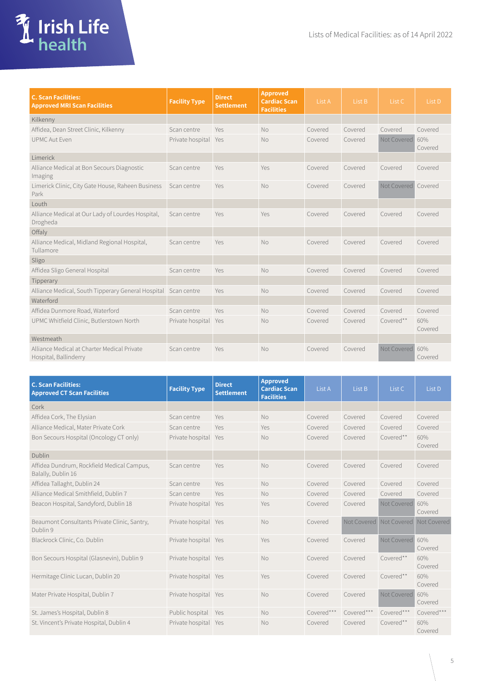

| <b>C. Scan Facilities:</b><br><b>Approved MRI Scan Facilities</b>    | <b>Facility Type</b> | <b>Direct</b><br><b>Settlement</b> | <b>Approved</b><br><b>Cardiac Scan</b><br><b>Facilities</b> | List A  | List B  | List C      | List D         |
|----------------------------------------------------------------------|----------------------|------------------------------------|-------------------------------------------------------------|---------|---------|-------------|----------------|
| Kilkenny                                                             |                      |                                    |                                                             |         |         |             |                |
| Affidea, Dean Street Clinic, Kilkenny                                | Scan centre          | Yes                                | <b>No</b>                                                   | Covered | Covered | Covered     | Covered        |
| <b>UPMC Aut Even</b>                                                 | Private hospital Yes |                                    | <b>No</b>                                                   | Covered | Covered | Not Covered | 60%<br>Covered |
| Limerick                                                             |                      |                                    |                                                             |         |         |             |                |
| Alliance Medical at Bon Secours Diagnostic<br>Imaging                | Scan centre          | Yes                                | Yes                                                         | Covered | Covered | Covered     | Covered        |
| Limerick Clinic, City Gate House, Raheen Business<br>Park            | Scan centre          | Yes                                | <b>No</b>                                                   | Covered | Covered | Not Covered | Covered        |
| Louth                                                                |                      |                                    |                                                             |         |         |             |                |
| Alliance Medical at Our Lady of Lourdes Hospital,<br>Drogheda        | Scan centre          | Yes                                | Yes                                                         | Covered | Covered | Covered     | Covered        |
| Offaly                                                               |                      |                                    |                                                             |         |         |             |                |
| Alliance Medical, Midland Regional Hospital,<br>Tullamore            | Scan centre          | Yes                                | <b>No</b>                                                   | Covered | Covered | Covered     | Covered        |
| Sligo                                                                |                      |                                    |                                                             |         |         |             |                |
| Affidea Sligo General Hospital                                       | Scan centre          | Yes                                | <b>No</b>                                                   | Covered | Covered | Covered     | Covered        |
| Tipperary                                                            |                      |                                    |                                                             |         |         |             |                |
| Alliance Medical, South Tipperary General Hospital Scan centre       |                      | Yes                                | <b>No</b>                                                   | Covered | Covered | Covered     | Covered        |
| Waterford                                                            |                      |                                    |                                                             |         |         |             |                |
| Affidea Dunmore Road, Waterford                                      | Scan centre          | Yes                                | No                                                          | Covered | Covered | Covered     | Covered        |
| UPMC Whitfield Clinic, Butlerstown North                             | Private hospital Yes |                                    | <b>No</b>                                                   | Covered | Covered | Covered**   | 60%<br>Covered |
| Westmeath                                                            |                      |                                    |                                                             |         |         |             |                |
| Alliance Medical at Charter Medical Private<br>Hospital, Ballinderry | Scan centre          | Yes                                | <b>No</b>                                                   | Covered | Covered | Not Covered | 60%<br>Covered |

| <b>C. Scan Facilities:</b><br><b>Approved CT Scan Facilities</b> | <b>Facility Type</b> | <b>Direct</b><br><b>Settlement</b> | <b>Approved</b><br><b>Cardiac Scan</b><br><b>Facilities</b> | List A     | List B      | List C          | List D         |
|------------------------------------------------------------------|----------------------|------------------------------------|-------------------------------------------------------------|------------|-------------|-----------------|----------------|
| Cork                                                             |                      |                                    |                                                             |            |             |                 |                |
| Affidea Cork, The Elysian                                        | Scan centre          | Yes                                | <b>No</b>                                                   | Covered    | Covered     | Covered         | Covered        |
| Alliance Medical, Mater Private Cork                             | Scan centre          | Yes                                | Yes                                                         | Covered    | Covered     | Covered         | Covered        |
| Bon Secours Hospital (Oncology CT only)                          | Private hospital Yes |                                    | <b>No</b>                                                   | Covered    | Covered     | Covered**       | 60%<br>Covered |
| Dublin                                                           |                      |                                    |                                                             |            |             |                 |                |
| Affidea Dundrum, Rockfield Medical Campus,<br>Balally, Dublin 16 | Scan centre          | Yes                                | <b>No</b>                                                   | Covered    | Covered     | Covered         | Covered        |
| Affidea Tallaght, Dublin 24                                      | Scan centre          | Yes                                | <b>No</b>                                                   | Covered    | Covered     | Covered         | Covered        |
| Alliance Medical Smithfield, Dublin 7                            | Scan centre          | Yes                                | <b>No</b>                                                   | Covered    | Covered     | Covered         | Covered        |
| Beacon Hospital, Sandyford, Dublin 18                            | Private hospital Yes |                                    | Yes                                                         | Covered    | Covered     | Not Covered     | 60%<br>Covered |
| Beaumont Consultants Private Clinic, Santry,<br>Dublin 9         | Private hospital Yes |                                    | <b>No</b>                                                   | Covered    | Not Covered | Not Covered     | Not Covered    |
| Blackrock Clinic, Co. Dublin                                     | Private hospital Yes |                                    | Yes                                                         | Covered    | Covered     | Not Covered 60% | Covered        |
| Bon Secours Hospital (Glasnevin), Dublin 9                       | Private hospital Yes |                                    | <b>No</b>                                                   | Covered    | Covered     | Covered**       | 60%<br>Covered |
| Hermitage Clinic Lucan, Dublin 20                                | Private hospital Yes |                                    | Yes                                                         | Covered    | Covered     | Covered**       | 60%<br>Covered |
| Mater Private Hospital, Dublin 7                                 | Private hospital Yes |                                    | <b>No</b>                                                   | Covered    | Covered     | Not Covered     | 60%<br>Covered |
| St. James's Hospital, Dublin 8                                   | Public hospital      | Yes                                | <b>No</b>                                                   | Covered*** | Covered***  | Covered***      | Covered***     |
| St. Vincent's Private Hospital, Dublin 4                         | Private hospital Yes |                                    | <b>No</b>                                                   | Covered    | Covered     | Covered**       | 60%<br>Covered |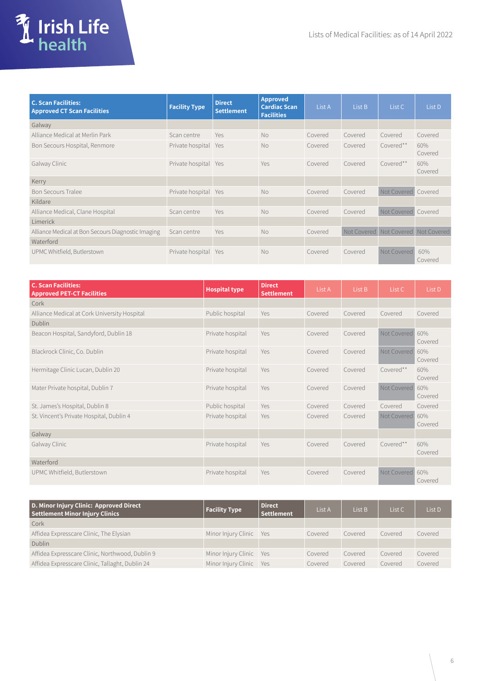

| <b>C. Scan Facilities:</b><br><b>Approved CT Scan Facilities</b> | <b>Facility Type</b> | <b>Direct</b><br><b>Settlement</b> | <b>Approved</b><br><b>Cardiac Scan</b><br><b>Facilities</b> | List A  | List B      | List C              | List D         |
|------------------------------------------------------------------|----------------------|------------------------------------|-------------------------------------------------------------|---------|-------------|---------------------|----------------|
| Galway                                                           |                      |                                    |                                                             |         |             |                     |                |
| Alliance Medical at Merlin Park                                  | Scan centre          | Yes                                | <b>No</b>                                                   | Covered | Covered     | Covered             | Covered        |
| Bon Secours Hospital, Renmore                                    | Private hospital     | Yes                                | <b>No</b>                                                   | Covered | Covered     | Covered**           | 60%<br>Covered |
| Galway Clinic                                                    | Private hospital Yes |                                    | Yes                                                         | Covered | Covered     | Covered**           | 60%<br>Covered |
| Kerry                                                            |                      |                                    |                                                             |         |             |                     |                |
| <b>Bon Secours Tralee</b>                                        | Private hospital     | Yes                                | No                                                          | Covered | Covered     | Not Covered         | Covered        |
| Kildare                                                          |                      |                                    |                                                             |         |             |                     |                |
| Alliance Medical, Clane Hospital                                 | Scan centre          | Yes                                | <b>No</b>                                                   | Covered | Covered     | Not Covered Covered |                |
| Limerick                                                         |                      |                                    |                                                             |         |             |                     |                |
| Alliance Medical at Bon Secours Diagnostic Imaging               | Scan centre          | Yes                                | <b>No</b>                                                   | Covered | Not Covered | Not Covered         | Not Covered    |
| Waterford                                                        |                      |                                    |                                                             |         |             |                     |                |
| UPMC Whitfield, Butlerstown                                      | Private hospital     | Yes                                | <b>No</b>                                                   | Covered | Covered     | Not Covered         | 60%<br>Covered |

| <b>C. Scan Facilities:</b><br><b>Approved PET-CT Facilities</b> | <b>Hospital type</b> | <b>Direct</b><br><b>Settlement</b> | List A  | List B  | List C      | List D         |
|-----------------------------------------------------------------|----------------------|------------------------------------|---------|---------|-------------|----------------|
| Cork                                                            |                      |                                    |         |         |             |                |
| Alliance Medical at Cork University Hospital                    | Public hospital      | Yes                                | Covered | Covered | Covered     | Covered        |
| Dublin                                                          |                      |                                    |         |         |             |                |
| Beacon Hospital, Sandyford, Dublin 18                           | Private hospital     | Yes                                | Covered | Covered | Not Covered | 60%<br>Covered |
| Blackrock Clinic, Co. Dublin                                    | Private hospital     | Yes                                | Covered | Covered | Not Covered | 60%<br>Covered |
| Hermitage Clinic Lucan, Dublin 20                               | Private hospital     | Yes                                | Covered | Covered | Covered**   | 60%<br>Covered |
| Mater Private hospital, Dublin 7                                | Private hospital     | Yes                                | Covered | Covered | Not Covered | 60%<br>Covered |
| St. James's Hospital, Dublin 8                                  | Public hospital      | Yes                                | Covered | Covered | Covered     | Covered        |
| St. Vincent's Private Hospital, Dublin 4                        | Private hospital     | Yes                                | Covered | Covered | Not Covered | 60%<br>Covered |
| Galway                                                          |                      |                                    |         |         |             |                |
| Galway Clinic                                                   | Private hospital     | Yes                                | Covered | Covered | Covered**   | 60%<br>Covered |
| Waterford                                                       |                      |                                    |         |         |             |                |
| UPMC Whitfield, Butlerstown                                     | Private hospital     | Yes                                | Covered | Covered | Not Covered | 60%<br>Covered |

| D. Minor Injury Clinic: Approved Direct<br><b>Settlement Minor Injury Clinics</b> | <b>Facility Type</b>    | <b>Direct</b><br><b>Settlement</b> | List A  | List B  | List C  | List D  |
|-----------------------------------------------------------------------------------|-------------------------|------------------------------------|---------|---------|---------|---------|
| Cork                                                                              |                         |                                    |         |         |         |         |
| Affidea Expresscare Clinic, The Elysian                                           | Minor Injury Clinic Yes |                                    | Covered | Covered | Covered | Covered |
| <b>Dublin</b>                                                                     |                         |                                    |         |         |         |         |
| Affidea Expresscare Clinic, Northwood, Dublin 9                                   | Minor Injury Clinic Yes |                                    | Covered | Covered | Covered | Covered |
| Affidea Expresscare Clinic, Tallaght, Dublin 24                                   | Minor Injury Clinic Yes |                                    | Covered | Covered | Covered | Covered |